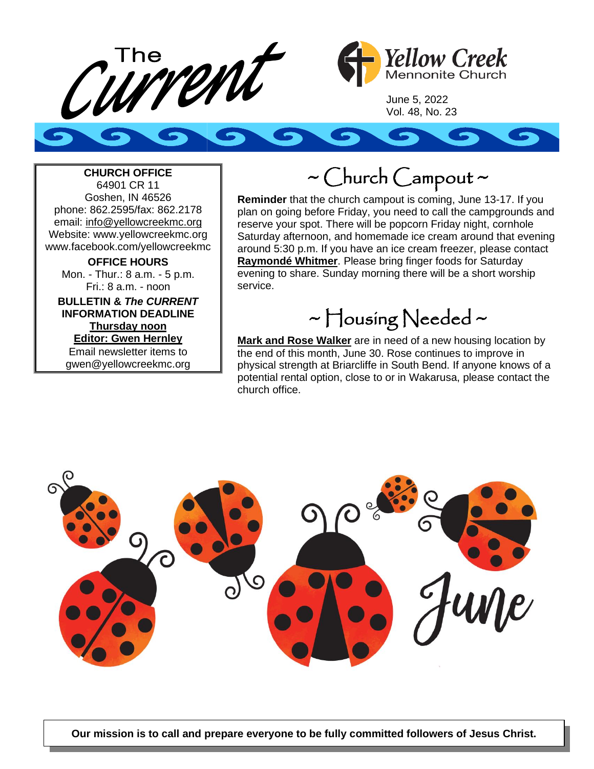



June 5, 2022 Vol. 48, No. 23



### **CHURCH OFFICE**

64901 CR 11 Goshen, IN 46526 phone: 862.2595/fax: 862.2178 email: info@yellowcreekmc.org Website: www.yellowcreekmc.org www.facebook.com/yellowcreekmc

**OFFICE HOURS** Mon. - Thur.: 8 a.m. - 5 p.m. Fri.: 8 a.m. - noon

**BULLETIN &** *The CURRENT* **INFORMATION DEADLINE Thursday noon Editor: Gwen Hernley** Email newsletter items to gwen@yellowcreekmc.org

### $\sim$  Church Campout  $\sim$

**Reminder** that the church campout is coming, June 13-17. If you plan on going before Friday, you need to call the campgrounds and reserve your spot. There will be popcorn Friday night, cornhole Saturday afternoon, and homemade ice cream around that evening around 5:30 p.m. If you have an ice cream freezer, please contact **Raymondé Whitmer**. Please bring finger foods for Saturday evening to share. Sunday morning there will be a short worship service.

## ~ Housing Needed ~

**Mark and Rose Walker** are in need of a new housing location by the end of this month, June 30. Rose continues to improve in physical strength at Briarcliffe in South Bend. If anyone knows of a potential rental option, close to or in Wakarusa, please contact the church office.